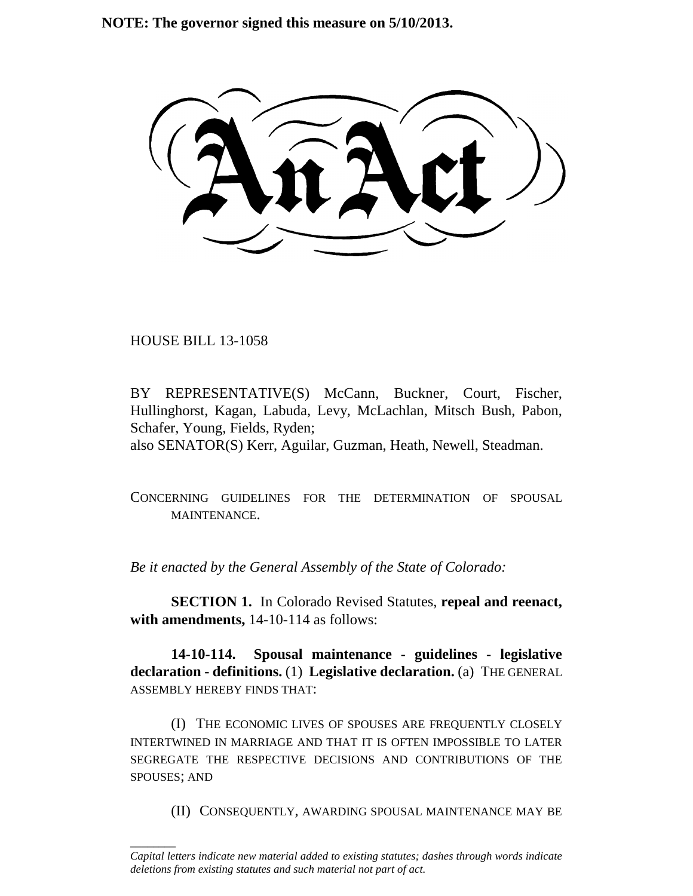**NOTE: The governor signed this measure on 5/10/2013.**

HOUSE BILL 13-1058

\_\_\_\_\_\_\_\_

BY REPRESENTATIVE(S) McCann, Buckner, Court, Fischer, Hullinghorst, Kagan, Labuda, Levy, McLachlan, Mitsch Bush, Pabon, Schafer, Young, Fields, Ryden; also SENATOR(S) Kerr, Aguilar, Guzman, Heath, Newell, Steadman.

CONCERNING GUIDELINES FOR THE DETERMINATION OF SPOUSAL MAINTENANCE.

*Be it enacted by the General Assembly of the State of Colorado:*

**SECTION 1.** In Colorado Revised Statutes, **repeal and reenact, with amendments,** 14-10-114 as follows:

**14-10-114. Spousal maintenance - guidelines - legislative declaration - definitions.** (1) **Legislative declaration.** (a) THE GENERAL ASSEMBLY HEREBY FINDS THAT:

(I) THE ECONOMIC LIVES OF SPOUSES ARE FREQUENTLY CLOSELY INTERTWINED IN MARRIAGE AND THAT IT IS OFTEN IMPOSSIBLE TO LATER SEGREGATE THE RESPECTIVE DECISIONS AND CONTRIBUTIONS OF THE SPOUSES; AND

(II) CONSEQUENTLY, AWARDING SPOUSAL MAINTENANCE MAY BE

*Capital letters indicate new material added to existing statutes; dashes through words indicate deletions from existing statutes and such material not part of act.*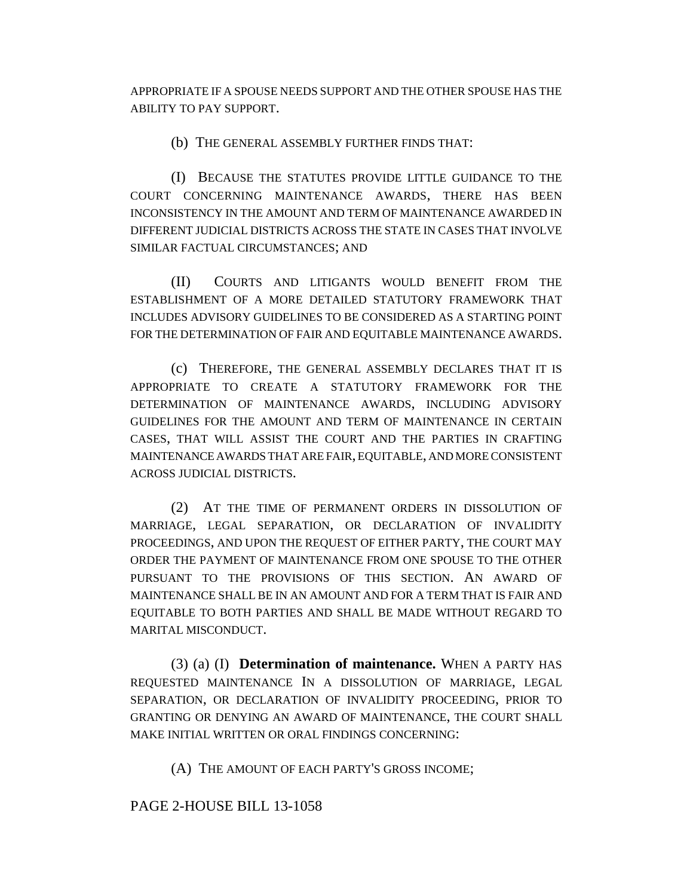APPROPRIATE IF A SPOUSE NEEDS SUPPORT AND THE OTHER SPOUSE HAS THE ABILITY TO PAY SUPPORT.

(b) THE GENERAL ASSEMBLY FURTHER FINDS THAT:

(I) BECAUSE THE STATUTES PROVIDE LITTLE GUIDANCE TO THE COURT CONCERNING MAINTENANCE AWARDS, THERE HAS BEEN INCONSISTENCY IN THE AMOUNT AND TERM OF MAINTENANCE AWARDED IN DIFFERENT JUDICIAL DISTRICTS ACROSS THE STATE IN CASES THAT INVOLVE SIMILAR FACTUAL CIRCUMSTANCES; AND

(II) COURTS AND LITIGANTS WOULD BENEFIT FROM THE ESTABLISHMENT OF A MORE DETAILED STATUTORY FRAMEWORK THAT INCLUDES ADVISORY GUIDELINES TO BE CONSIDERED AS A STARTING POINT FOR THE DETERMINATION OF FAIR AND EQUITABLE MAINTENANCE AWARDS.

(c) THEREFORE, THE GENERAL ASSEMBLY DECLARES THAT IT IS APPROPRIATE TO CREATE A STATUTORY FRAMEWORK FOR THE DETERMINATION OF MAINTENANCE AWARDS, INCLUDING ADVISORY GUIDELINES FOR THE AMOUNT AND TERM OF MAINTENANCE IN CERTAIN CASES, THAT WILL ASSIST THE COURT AND THE PARTIES IN CRAFTING MAINTENANCE AWARDS THAT ARE FAIR, EQUITABLE, AND MORE CONSISTENT ACROSS JUDICIAL DISTRICTS.

(2) AT THE TIME OF PERMANENT ORDERS IN DISSOLUTION OF MARRIAGE, LEGAL SEPARATION, OR DECLARATION OF INVALIDITY PROCEEDINGS, AND UPON THE REQUEST OF EITHER PARTY, THE COURT MAY ORDER THE PAYMENT OF MAINTENANCE FROM ONE SPOUSE TO THE OTHER PURSUANT TO THE PROVISIONS OF THIS SECTION. AN AWARD OF MAINTENANCE SHALL BE IN AN AMOUNT AND FOR A TERM THAT IS FAIR AND EQUITABLE TO BOTH PARTIES AND SHALL BE MADE WITHOUT REGARD TO MARITAL MISCONDUCT.

(3) (a) (I) **Determination of maintenance.** WHEN A PARTY HAS REQUESTED MAINTENANCE IN A DISSOLUTION OF MARRIAGE, LEGAL SEPARATION, OR DECLARATION OF INVALIDITY PROCEEDING, PRIOR TO GRANTING OR DENYING AN AWARD OF MAINTENANCE, THE COURT SHALL MAKE INITIAL WRITTEN OR ORAL FINDINGS CONCERNING:

(A) THE AMOUNT OF EACH PARTY'S GROSS INCOME;

PAGE 2-HOUSE BILL 13-1058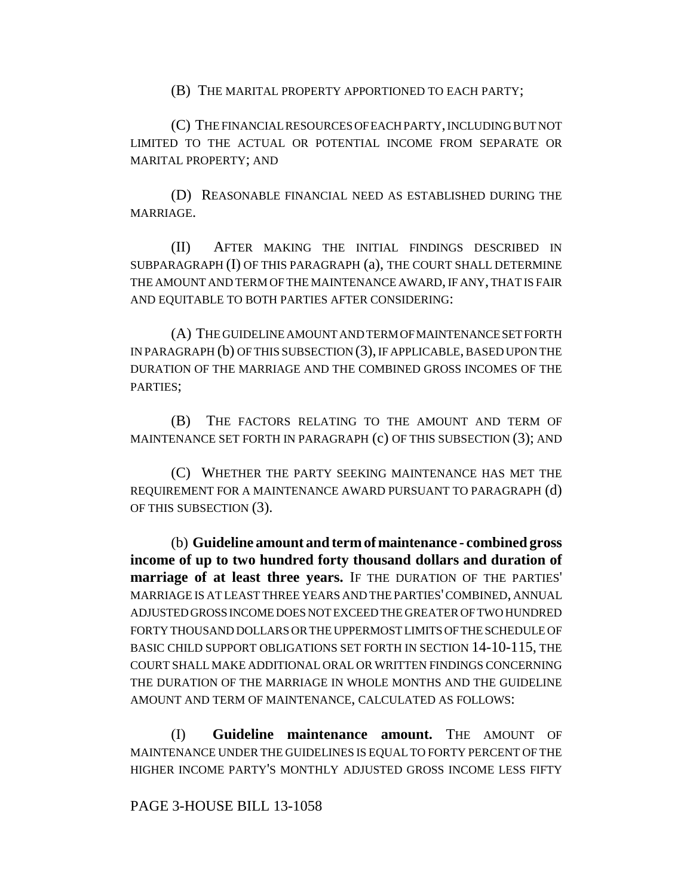(B) THE MARITAL PROPERTY APPORTIONED TO EACH PARTY;

(C) THE FINANCIAL RESOURCES OF EACH PARTY, INCLUDING BUT NOT LIMITED TO THE ACTUAL OR POTENTIAL INCOME FROM SEPARATE OR MARITAL PROPERTY; AND

(D) REASONABLE FINANCIAL NEED AS ESTABLISHED DURING THE MARRIAGE.

(II) AFTER MAKING THE INITIAL FINDINGS DESCRIBED IN SUBPARAGRAPH (I) OF THIS PARAGRAPH (a), THE COURT SHALL DETERMINE THE AMOUNT AND TERM OF THE MAINTENANCE AWARD, IF ANY, THAT IS FAIR AND EQUITABLE TO BOTH PARTIES AFTER CONSIDERING:

(A) THE GUIDELINE AMOUNT AND TERM OF MAINTENANCE SET FORTH IN PARAGRAPH (b) OF THIS SUBSECTION (3), IF APPLICABLE, BASED UPON THE DURATION OF THE MARRIAGE AND THE COMBINED GROSS INCOMES OF THE PARTIES;

(B) THE FACTORS RELATING TO THE AMOUNT AND TERM OF MAINTENANCE SET FORTH IN PARAGRAPH (c) OF THIS SUBSECTION (3); AND

(C) WHETHER THE PARTY SEEKING MAINTENANCE HAS MET THE REQUIREMENT FOR A MAINTENANCE AWARD PURSUANT TO PARAGRAPH (d) OF THIS SUBSECTION (3).

(b) **Guideline amount and term of maintenance - combined gross income of up to two hundred forty thousand dollars and duration of marriage of at least three years.** IF THE DURATION OF THE PARTIES' MARRIAGE IS AT LEAST THREE YEARS AND THE PARTIES' COMBINED, ANNUAL ADJUSTED GROSS INCOME DOES NOT EXCEED THE GREATER OF TWO HUNDRED FORTY THOUSAND DOLLARS OR THE UPPERMOST LIMITS OF THE SCHEDULE OF BASIC CHILD SUPPORT OBLIGATIONS SET FORTH IN SECTION 14-10-115, THE COURT SHALL MAKE ADDITIONAL ORAL OR WRITTEN FINDINGS CONCERNING THE DURATION OF THE MARRIAGE IN WHOLE MONTHS AND THE GUIDELINE AMOUNT AND TERM OF MAINTENANCE, CALCULATED AS FOLLOWS:

(I) **Guideline maintenance amount.** THE AMOUNT OF MAINTENANCE UNDER THE GUIDELINES IS EQUAL TO FORTY PERCENT OF THE HIGHER INCOME PARTY'S MONTHLY ADJUSTED GROSS INCOME LESS FIFTY

## PAGE 3-HOUSE BILL 13-1058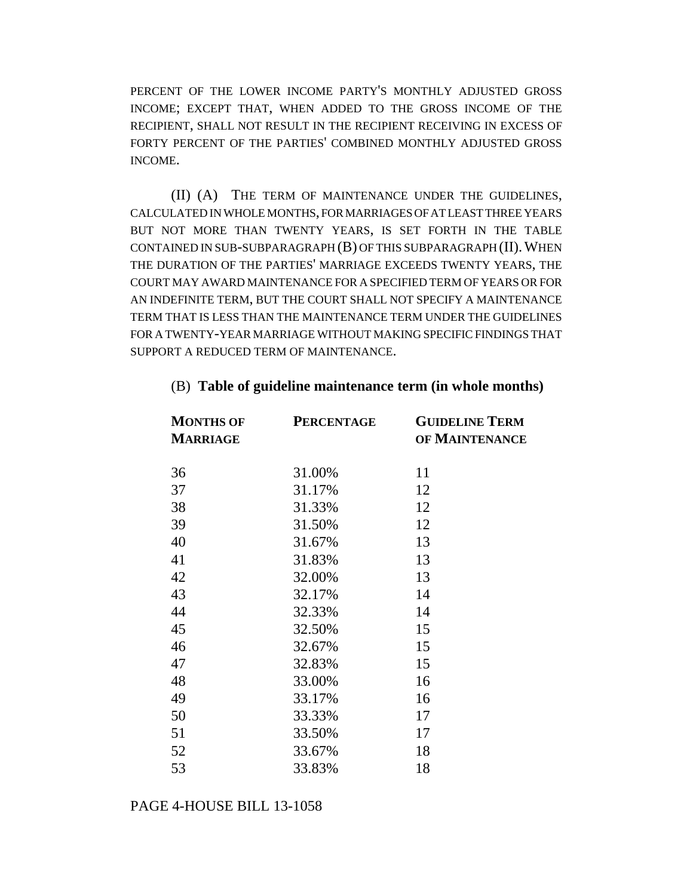PERCENT OF THE LOWER INCOME PARTY'S MONTHLY ADJUSTED GROSS INCOME; EXCEPT THAT, WHEN ADDED TO THE GROSS INCOME OF THE RECIPIENT, SHALL NOT RESULT IN THE RECIPIENT RECEIVING IN EXCESS OF FORTY PERCENT OF THE PARTIES' COMBINED MONTHLY ADJUSTED GROSS INCOME.

(II) (A) THE TERM OF MAINTENANCE UNDER THE GUIDELINES, CALCULATED IN WHOLE MONTHS, FOR MARRIAGES OF AT LEAST THREE YEARS BUT NOT MORE THAN TWENTY YEARS, IS SET FORTH IN THE TABLE CONTAINED IN SUB-SUBPARAGRAPH  $(B)$  OF THIS SUBPARAGRAPH  $(II)$ . WHEN THE DURATION OF THE PARTIES' MARRIAGE EXCEEDS TWENTY YEARS, THE COURT MAY AWARD MAINTENANCE FOR A SPECIFIED TERM OF YEARS OR FOR AN INDEFINITE TERM, BUT THE COURT SHALL NOT SPECIFY A MAINTENANCE TERM THAT IS LESS THAN THE MAINTENANCE TERM UNDER THE GUIDELINES FOR A TWENTY-YEAR MARRIAGE WITHOUT MAKING SPECIFIC FINDINGS THAT SUPPORT A REDUCED TERM OF MAINTENANCE.

| <b>MONTHS OF</b><br><b>MARRIAGE</b> | <b>PERCENTAGE</b> | <b>GUIDELINE TERM</b><br>OF MAINTENANCE |
|-------------------------------------|-------------------|-----------------------------------------|
| 36                                  | 31.00%            | 11                                      |
| 37                                  | 31.17%            | 12                                      |
| 38                                  | 31.33%            | 12                                      |
| 39                                  | 31.50%            | 12                                      |
| 40                                  | 31.67%            | 13                                      |
| 41                                  | 31.83%            | 13                                      |
| 42                                  | 32.00%            | 13                                      |
| 43                                  | 32.17%            | 14                                      |
| 44                                  | 32.33%            | 14                                      |
| 45                                  | 32.50%            | 15                                      |
| 46                                  | 32.67%            | 15                                      |
| 47                                  | 32.83%            | 15                                      |
| 48                                  | 33.00%            | 16                                      |
| 49                                  | 33.17%            | 16                                      |
| 50                                  | 33.33%            | 17                                      |
| 51                                  | 33.50%            | 17                                      |
| 52                                  | 33.67%            | 18                                      |
| 53                                  | 33.83%            | 18                                      |

### (B) **Table of guideline maintenance term (in whole months)**

## PAGE 4-HOUSE BILL 13-1058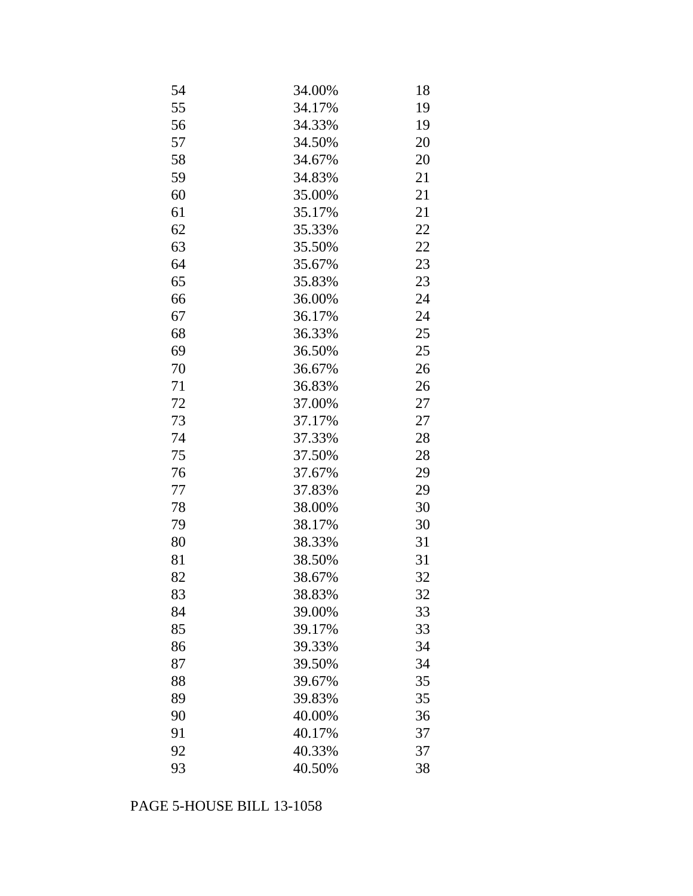| 54 | 34.00% | 18 |
|----|--------|----|
| 55 | 34.17% | 19 |
| 56 | 34.33% | 19 |
| 57 | 34.50% | 20 |
| 58 | 34.67% | 20 |
| 59 | 34.83% | 21 |
| 60 | 35.00% | 21 |
| 61 | 35.17% | 21 |
| 62 | 35.33% | 22 |
| 63 | 35.50% | 22 |
| 64 | 35.67% | 23 |
| 65 | 35.83% | 23 |
| 66 | 36.00% | 24 |
| 67 | 36.17% | 24 |
| 68 | 36.33% | 25 |
| 69 | 36.50% | 25 |
| 70 | 36.67% | 26 |
| 71 | 36.83% | 26 |
| 72 | 37.00% | 27 |
| 73 | 37.17% | 27 |
| 74 | 37.33% | 28 |
| 75 | 37.50% | 28 |
| 76 | 37.67% | 29 |
| 77 | 37.83% | 29 |
| 78 | 38.00% | 30 |
| 79 | 38.17% | 30 |
| 80 | 38.33% | 31 |
| 81 | 38.50% | 31 |
| 82 | 38.67% | 32 |
| 83 | 38.83% | 32 |
| 84 | 39.00% | 33 |
| 85 | 39.17% | 33 |
| 86 | 39.33% | 34 |
| 87 | 39.50% | 34 |
| 88 | 39.67% | 35 |
| 89 | 39.83% | 35 |
| 90 | 40.00% | 36 |
| 91 | 40.17% | 37 |
| 92 | 40.33% | 37 |
| 93 | 40.50% | 38 |

## PAGE 5-HOUSE BILL 13-1058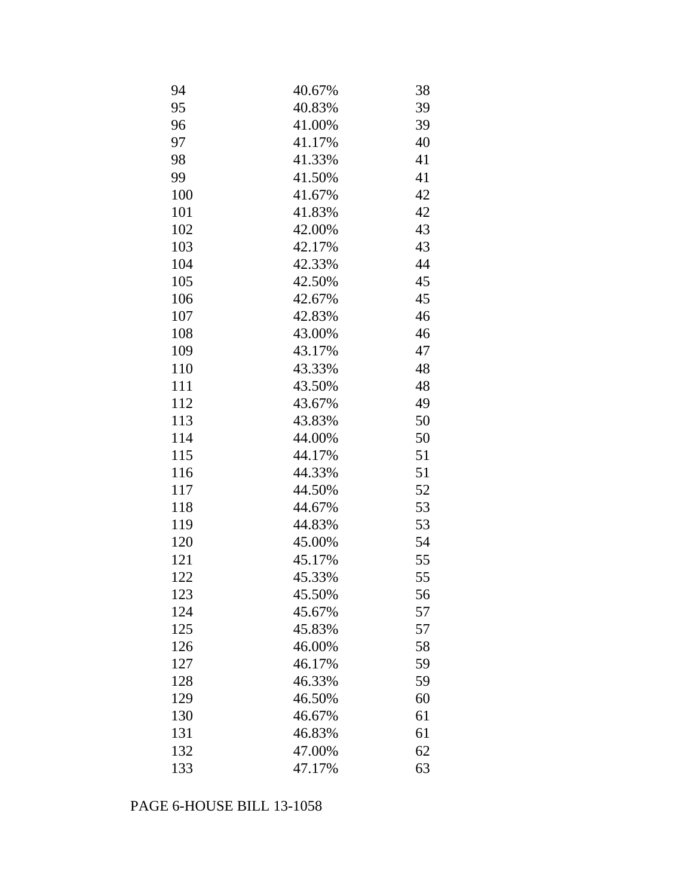| 94  | 40.67% | 38 |
|-----|--------|----|
| 95  | 40.83% | 39 |
| 96  | 41.00% | 39 |
| 97  | 41.17% | 40 |
| 98  | 41.33% | 41 |
| 99  | 41.50% | 41 |
| 100 | 41.67% | 42 |
| 101 | 41.83% | 42 |
| 102 | 42.00% | 43 |
| 103 | 42.17% | 43 |
| 104 | 42.33% | 44 |
| 105 | 42.50% | 45 |
| 106 | 42.67% | 45 |
| 107 | 42.83% | 46 |
| 108 | 43.00% | 46 |
| 109 | 43.17% | 47 |
| 110 | 43.33% | 48 |
| 111 | 43.50% | 48 |
| 112 | 43.67% | 49 |
| 113 | 43.83% | 50 |
| 114 | 44.00% | 50 |
| 115 | 44.17% | 51 |
| 116 | 44.33% | 51 |
| 117 | 44.50% | 52 |
| 118 | 44.67% | 53 |
| 119 | 44.83% | 53 |
| 120 | 45.00% | 54 |
| 121 | 45.17% | 55 |
| 122 | 45.33% | 55 |
| 123 | 45.50% | 56 |
| 124 | 45.67% | 57 |
| 125 | 45.83% | 57 |
| 126 | 46.00% | 58 |
| 127 | 46.17% | 59 |
| 128 | 46.33% | 59 |
| 129 | 46.50% | 60 |
| 130 | 46.67% | 61 |
| 131 | 46.83% | 61 |
| 132 | 47.00% | 62 |
| 133 | 47.17% | 63 |

## PAGE 6-HOUSE BILL 13-1058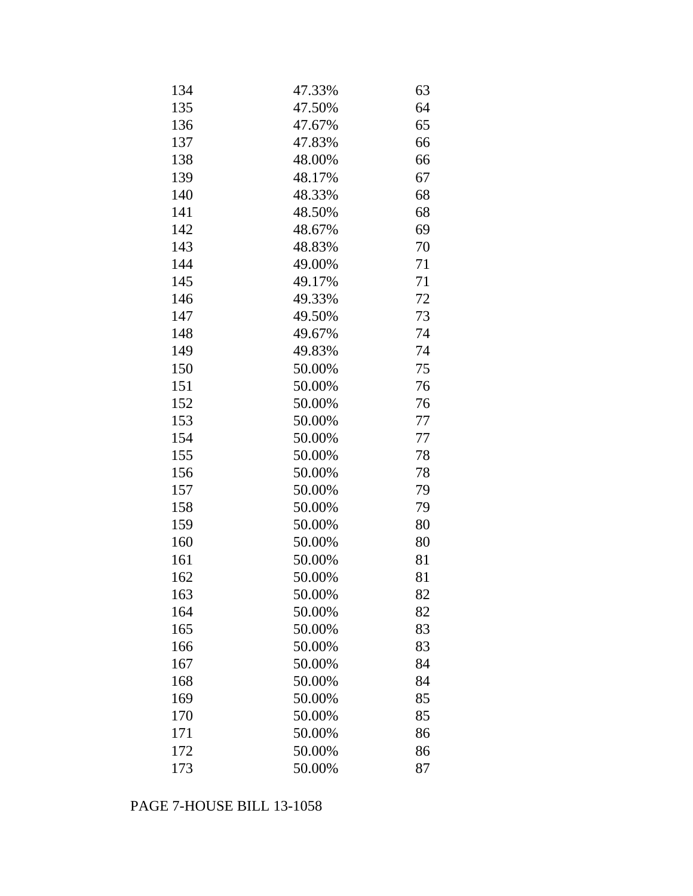| 134 | 47.33% | 63 |
|-----|--------|----|
| 135 | 47.50% | 64 |
| 136 | 47.67% | 65 |
| 137 | 47.83% | 66 |
| 138 | 48.00% | 66 |
| 139 | 48.17% | 67 |
| 140 | 48.33% | 68 |
| 141 | 48.50% | 68 |
| 142 | 48.67% | 69 |
| 143 | 48.83% | 70 |
| 144 | 49.00% | 71 |
| 145 | 49.17% | 71 |
| 146 | 49.33% | 72 |
| 147 | 49.50% | 73 |
| 148 | 49.67% | 74 |
| 149 | 49.83% | 74 |
| 150 | 50.00% | 75 |
| 151 | 50.00% | 76 |
| 152 | 50.00% | 76 |
| 153 | 50.00% | 77 |
| 154 | 50.00% | 77 |
| 155 | 50.00% | 78 |
| 156 | 50.00% | 78 |
| 157 | 50.00% | 79 |
| 158 | 50.00% | 79 |
| 159 | 50.00% | 80 |
| 160 | 50.00% | 80 |
| 161 | 50.00% | 81 |
| 162 | 50.00% | 81 |
| 163 | 50.00% | 82 |
| 164 | 50.00% | 82 |
| 165 | 50.00% | 83 |
| 166 | 50.00% | 83 |
| 167 | 50.00% | 84 |
| 168 | 50.00% | 84 |
| 169 | 50.00% | 85 |
| 170 | 50.00% | 85 |
| 171 | 50.00% | 86 |
| 172 | 50.00% | 86 |
| 173 | 50.00% | 87 |

# PAGE 7-HOUSE BILL 13-1058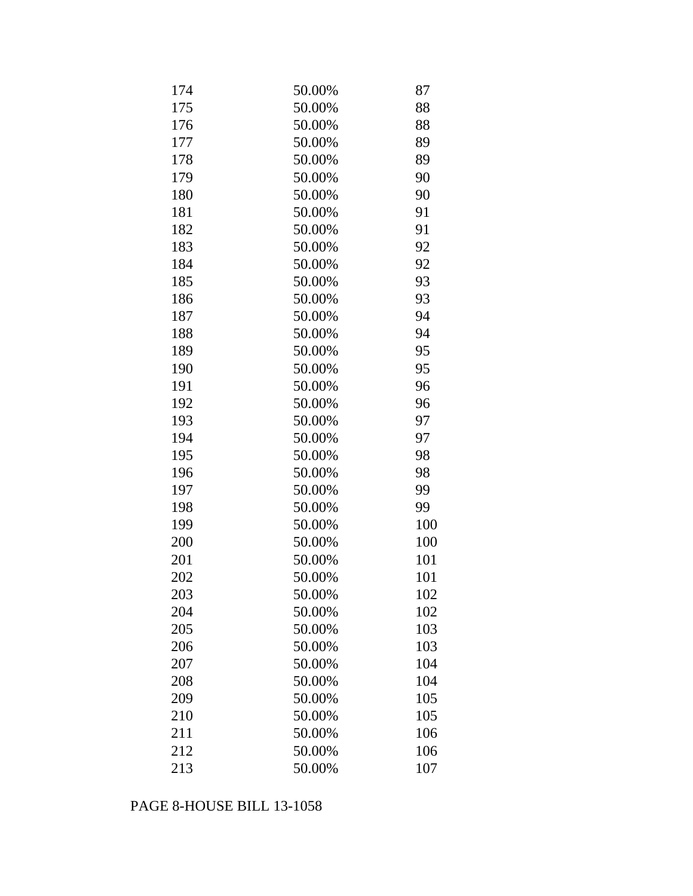| 174 | 50.00% | 87  |
|-----|--------|-----|
| 175 | 50.00% | 88  |
| 176 | 50.00% | 88  |
| 177 | 50.00% | 89  |
| 178 | 50.00% | 89  |
| 179 | 50.00% | 90  |
| 180 | 50.00% | 90  |
| 181 | 50.00% | 91  |
| 182 | 50.00% | 91  |
| 183 | 50.00% | 92  |
| 184 | 50.00% | 92  |
| 185 | 50.00% | 93  |
| 186 | 50.00% | 93  |
| 187 | 50.00% | 94  |
| 188 | 50.00% | 94  |
| 189 | 50.00% | 95  |
| 190 | 50.00% | 95  |
| 191 | 50.00% | 96  |
| 192 | 50.00% | 96  |
| 193 | 50.00% | 97  |
| 194 | 50.00% | 97  |
| 195 | 50.00% | 98  |
| 196 | 50.00% | 98  |
| 197 | 50.00% | 99  |
| 198 | 50.00% | 99  |
| 199 | 50.00% | 100 |
| 200 | 50.00% | 100 |
| 201 | 50.00% | 101 |
| 202 | 50.00% | 101 |
| 203 | 50.00% | 102 |
| 204 | 50.00% | 102 |
| 205 | 50.00% | 103 |
| 206 | 50.00% | 103 |
| 207 | 50.00% | 104 |
| 208 | 50.00% | 104 |
| 209 | 50.00% | 105 |
| 210 | 50.00% | 105 |
| 211 | 50.00% | 106 |
| 212 | 50.00% | 106 |
| 213 | 50.00% | 107 |

## PAGE 8-HOUSE BILL 13-1058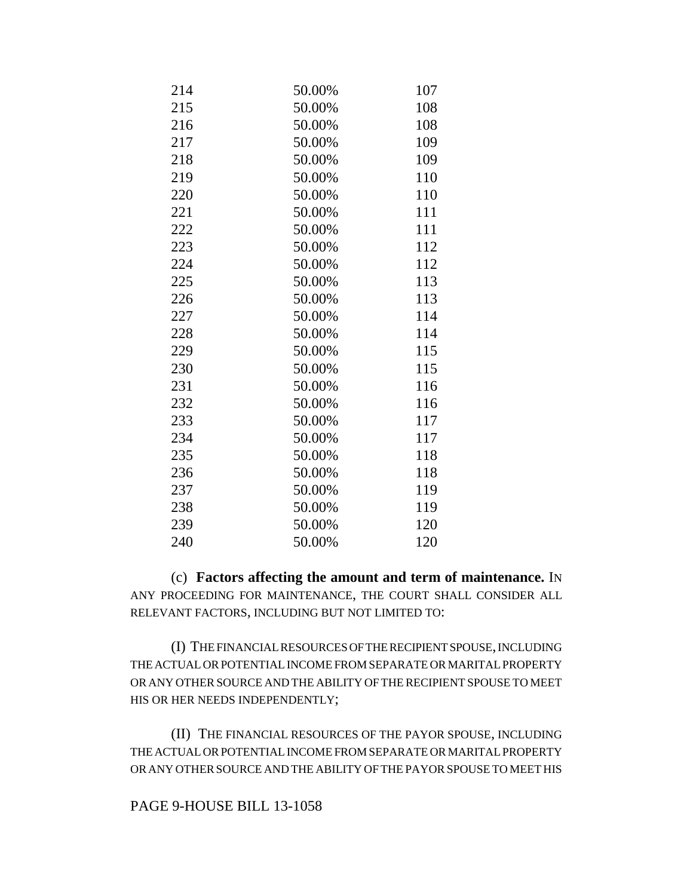| 214 | 50.00% | 107 |
|-----|--------|-----|
| 215 | 50.00% | 108 |
| 216 | 50.00% | 108 |
| 217 | 50.00% | 109 |
| 218 | 50.00% | 109 |
| 219 | 50.00% | 110 |
| 220 | 50.00% | 110 |
| 221 | 50.00% | 111 |
| 222 | 50.00% | 111 |
| 223 | 50.00% | 112 |
| 224 | 50.00% | 112 |
| 225 | 50.00% | 113 |
| 226 | 50.00% | 113 |
| 227 | 50.00% | 114 |
| 228 | 50.00% | 114 |
| 229 | 50.00% | 115 |
| 230 | 50.00% | 115 |
| 231 | 50.00% | 116 |
| 232 | 50.00% | 116 |
| 233 | 50.00% | 117 |
| 234 | 50.00% | 117 |
| 235 | 50.00% | 118 |
| 236 | 50.00% | 118 |
| 237 | 50.00% | 119 |
| 238 | 50.00% | 119 |
| 239 | 50.00% | 120 |
| 240 | 50.00% | 120 |

(c) **Factors affecting the amount and term of maintenance.** IN ANY PROCEEDING FOR MAINTENANCE, THE COURT SHALL CONSIDER ALL RELEVANT FACTORS, INCLUDING BUT NOT LIMITED TO:

(I) THE FINANCIAL RESOURCES OF THE RECIPIENT SPOUSE, INCLUDING THE ACTUAL OR POTENTIAL INCOME FROM SEPARATE OR MARITAL PROPERTY OR ANY OTHER SOURCE AND THE ABILITY OF THE RECIPIENT SPOUSE TO MEET HIS OR HER NEEDS INDEPENDENTLY;

(II) THE FINANCIAL RESOURCES OF THE PAYOR SPOUSE, INCLUDING THE ACTUAL OR POTENTIAL INCOME FROM SEPARATE OR MARITAL PROPERTY OR ANY OTHER SOURCE AND THE ABILITY OF THE PAYOR SPOUSE TO MEET HIS

## PAGE 9-HOUSE BILL 13-1058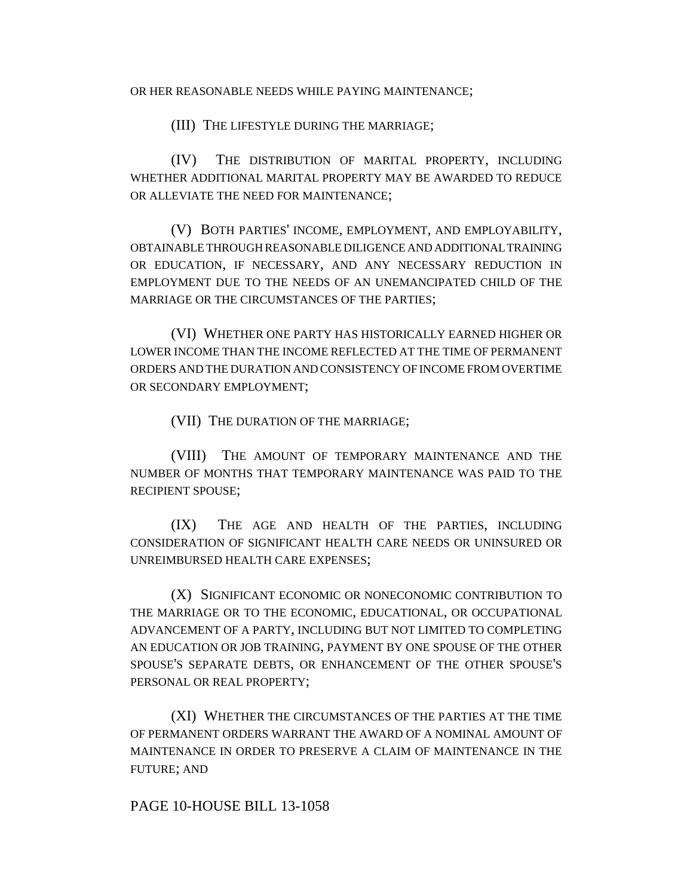OR HER REASONABLE NEEDS WHILE PAYING MAINTENANCE;

(III) THE LIFESTYLE DURING THE MARRIAGE;

(IV) THE DISTRIBUTION OF MARITAL PROPERTY, INCLUDING WHETHER ADDITIONAL MARITAL PROPERTY MAY BE AWARDED TO REDUCE OR ALLEVIATE THE NEED FOR MAINTENANCE;

(V) BOTH PARTIES' INCOME, EMPLOYMENT, AND EMPLOYABILITY, OBTAINABLE THROUGH REASONABLE DILIGENCE AND ADDITIONAL TRAINING OR EDUCATION, IF NECESSARY, AND ANY NECESSARY REDUCTION IN EMPLOYMENT DUE TO THE NEEDS OF AN UNEMANCIPATED CHILD OF THE MARRIAGE OR THE CIRCUMSTANCES OF THE PARTIES;

(VI) WHETHER ONE PARTY HAS HISTORICALLY EARNED HIGHER OR LOWER INCOME THAN THE INCOME REFLECTED AT THE TIME OF PERMANENT ORDERS AND THE DURATION AND CONSISTENCY OF INCOME FROM OVERTIME OR SECONDARY EMPLOYMENT;

(VII) THE DURATION OF THE MARRIAGE;

(VIII) THE AMOUNT OF TEMPORARY MAINTENANCE AND THE NUMBER OF MONTHS THAT TEMPORARY MAINTENANCE WAS PAID TO THE RECIPIENT SPOUSE;

(IX) THE AGE AND HEALTH OF THE PARTIES, INCLUDING CONSIDERATION OF SIGNIFICANT HEALTH CARE NEEDS OR UNINSURED OR UNREIMBURSED HEALTH CARE EXPENSES;

(X) SIGNIFICANT ECONOMIC OR NONECONOMIC CONTRIBUTION TO THE MARRIAGE OR TO THE ECONOMIC, EDUCATIONAL, OR OCCUPATIONAL ADVANCEMENT OF A PARTY, INCLUDING BUT NOT LIMITED TO COMPLETING AN EDUCATION OR JOB TRAINING, PAYMENT BY ONE SPOUSE OF THE OTHER SPOUSE'S SEPARATE DEBTS, OR ENHANCEMENT OF THE OTHER SPOUSE'S PERSONAL OR REAL PROPERTY;

(XI) WHETHER THE CIRCUMSTANCES OF THE PARTIES AT THE TIME OF PERMANENT ORDERS WARRANT THE AWARD OF A NOMINAL AMOUNT OF MAINTENANCE IN ORDER TO PRESERVE A CLAIM OF MAINTENANCE IN THE FUTURE; AND

PAGE 10-HOUSE BILL 13-1058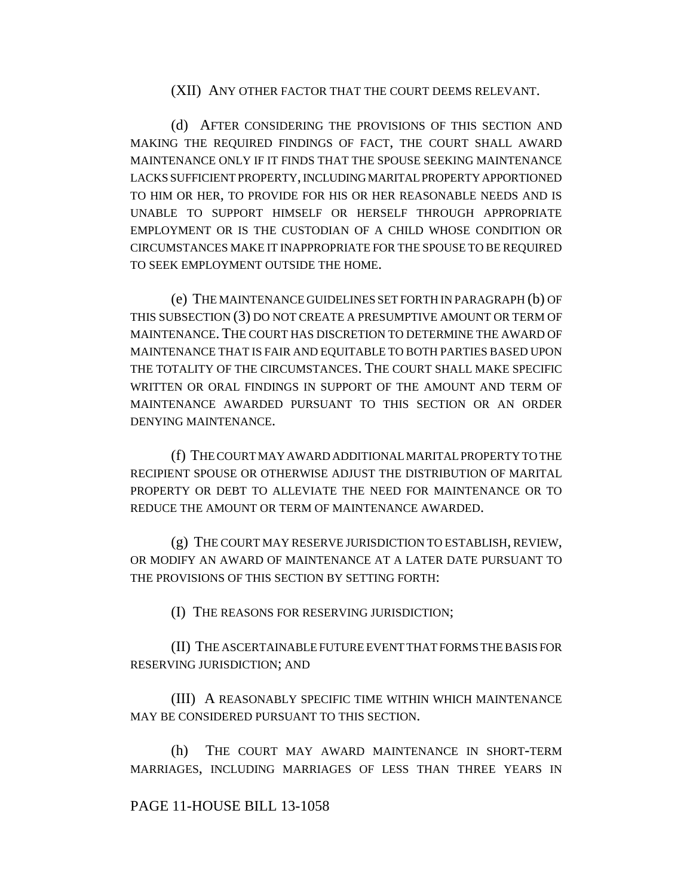#### (XII) ANY OTHER FACTOR THAT THE COURT DEEMS RELEVANT.

(d) AFTER CONSIDERING THE PROVISIONS OF THIS SECTION AND MAKING THE REQUIRED FINDINGS OF FACT, THE COURT SHALL AWARD MAINTENANCE ONLY IF IT FINDS THAT THE SPOUSE SEEKING MAINTENANCE LACKS SUFFICIENT PROPERTY, INCLUDING MARITAL PROPERTY APPORTIONED TO HIM OR HER, TO PROVIDE FOR HIS OR HER REASONABLE NEEDS AND IS UNABLE TO SUPPORT HIMSELF OR HERSELF THROUGH APPROPRIATE EMPLOYMENT OR IS THE CUSTODIAN OF A CHILD WHOSE CONDITION OR CIRCUMSTANCES MAKE IT INAPPROPRIATE FOR THE SPOUSE TO BE REQUIRED TO SEEK EMPLOYMENT OUTSIDE THE HOME.

(e) THE MAINTENANCE GUIDELINES SET FORTH IN PARAGRAPH (b) OF THIS SUBSECTION (3) DO NOT CREATE A PRESUMPTIVE AMOUNT OR TERM OF MAINTENANCE. THE COURT HAS DISCRETION TO DETERMINE THE AWARD OF MAINTENANCE THAT IS FAIR AND EQUITABLE TO BOTH PARTIES BASED UPON THE TOTALITY OF THE CIRCUMSTANCES. THE COURT SHALL MAKE SPECIFIC WRITTEN OR ORAL FINDINGS IN SUPPORT OF THE AMOUNT AND TERM OF MAINTENANCE AWARDED PURSUANT TO THIS SECTION OR AN ORDER DENYING MAINTENANCE.

(f) THE COURT MAY AWARD ADDITIONAL MARITAL PROPERTY TO THE RECIPIENT SPOUSE OR OTHERWISE ADJUST THE DISTRIBUTION OF MARITAL PROPERTY OR DEBT TO ALLEVIATE THE NEED FOR MAINTENANCE OR TO REDUCE THE AMOUNT OR TERM OF MAINTENANCE AWARDED.

(g) THE COURT MAY RESERVE JURISDICTION TO ESTABLISH, REVIEW, OR MODIFY AN AWARD OF MAINTENANCE AT A LATER DATE PURSUANT TO THE PROVISIONS OF THIS SECTION BY SETTING FORTH:

(I) THE REASONS FOR RESERVING JURISDICTION;

(II) THE ASCERTAINABLE FUTURE EVENT THAT FORMS THE BASIS FOR RESERVING JURISDICTION; AND

(III) A REASONABLY SPECIFIC TIME WITHIN WHICH MAINTENANCE MAY BE CONSIDERED PURSUANT TO THIS SECTION.

(h) THE COURT MAY AWARD MAINTENANCE IN SHORT-TERM MARRIAGES, INCLUDING MARRIAGES OF LESS THAN THREE YEARS IN

## PAGE 11-HOUSE BILL 13-1058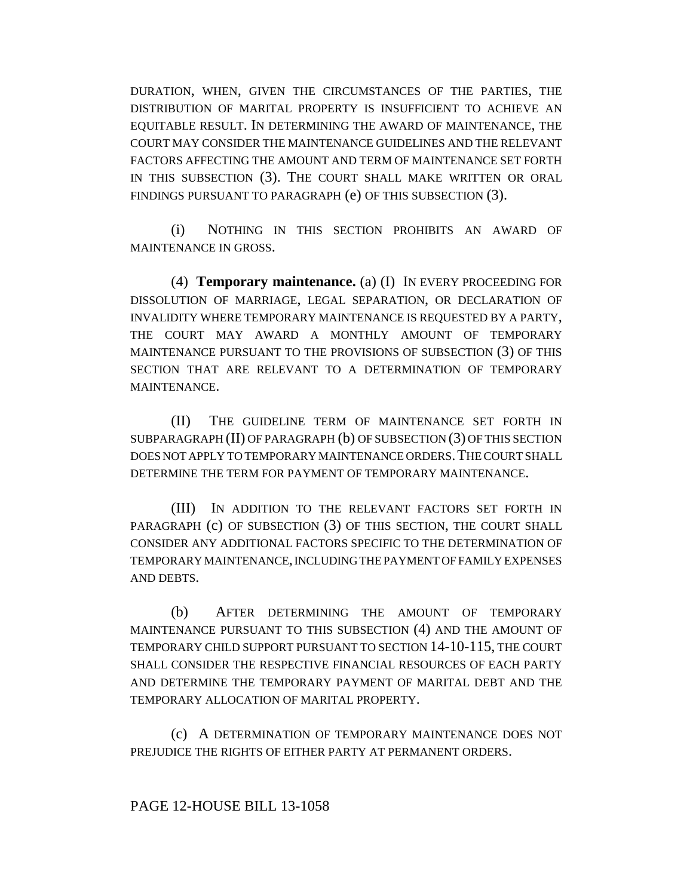DURATION, WHEN, GIVEN THE CIRCUMSTANCES OF THE PARTIES, THE DISTRIBUTION OF MARITAL PROPERTY IS INSUFFICIENT TO ACHIEVE AN EQUITABLE RESULT. IN DETERMINING THE AWARD OF MAINTENANCE, THE COURT MAY CONSIDER THE MAINTENANCE GUIDELINES AND THE RELEVANT FACTORS AFFECTING THE AMOUNT AND TERM OF MAINTENANCE SET FORTH IN THIS SUBSECTION (3). THE COURT SHALL MAKE WRITTEN OR ORAL FINDINGS PURSUANT TO PARAGRAPH (e) OF THIS SUBSECTION (3).

(i) NOTHING IN THIS SECTION PROHIBITS AN AWARD OF MAINTENANCE IN GROSS.

(4) **Temporary maintenance.** (a) (I) IN EVERY PROCEEDING FOR DISSOLUTION OF MARRIAGE, LEGAL SEPARATION, OR DECLARATION OF INVALIDITY WHERE TEMPORARY MAINTENANCE IS REQUESTED BY A PARTY, THE COURT MAY AWARD A MONTHLY AMOUNT OF TEMPORARY MAINTENANCE PURSUANT TO THE PROVISIONS OF SUBSECTION (3) OF THIS SECTION THAT ARE RELEVANT TO A DETERMINATION OF TEMPORARY MAINTENANCE.

(II) THE GUIDELINE TERM OF MAINTENANCE SET FORTH IN SUBPARAGRAPH (II) OF PARAGRAPH (b) OF SUBSECTION (3) OF THIS SECTION DOES NOT APPLY TO TEMPORARY MAINTENANCE ORDERS.THE COURT SHALL DETERMINE THE TERM FOR PAYMENT OF TEMPORARY MAINTENANCE.

(III) IN ADDITION TO THE RELEVANT FACTORS SET FORTH IN PARAGRAPH (c) OF SUBSECTION (3) OF THIS SECTION, THE COURT SHALL CONSIDER ANY ADDITIONAL FACTORS SPECIFIC TO THE DETERMINATION OF TEMPORARY MAINTENANCE, INCLUDING THE PAYMENT OF FAMILY EXPENSES AND DEBTS.

(b) AFTER DETERMINING THE AMOUNT OF TEMPORARY MAINTENANCE PURSUANT TO THIS SUBSECTION (4) AND THE AMOUNT OF TEMPORARY CHILD SUPPORT PURSUANT TO SECTION 14-10-115, THE COURT SHALL CONSIDER THE RESPECTIVE FINANCIAL RESOURCES OF EACH PARTY AND DETERMINE THE TEMPORARY PAYMENT OF MARITAL DEBT AND THE TEMPORARY ALLOCATION OF MARITAL PROPERTY.

(c) A DETERMINATION OF TEMPORARY MAINTENANCE DOES NOT PREJUDICE THE RIGHTS OF EITHER PARTY AT PERMANENT ORDERS.

## PAGE 12-HOUSE BILL 13-1058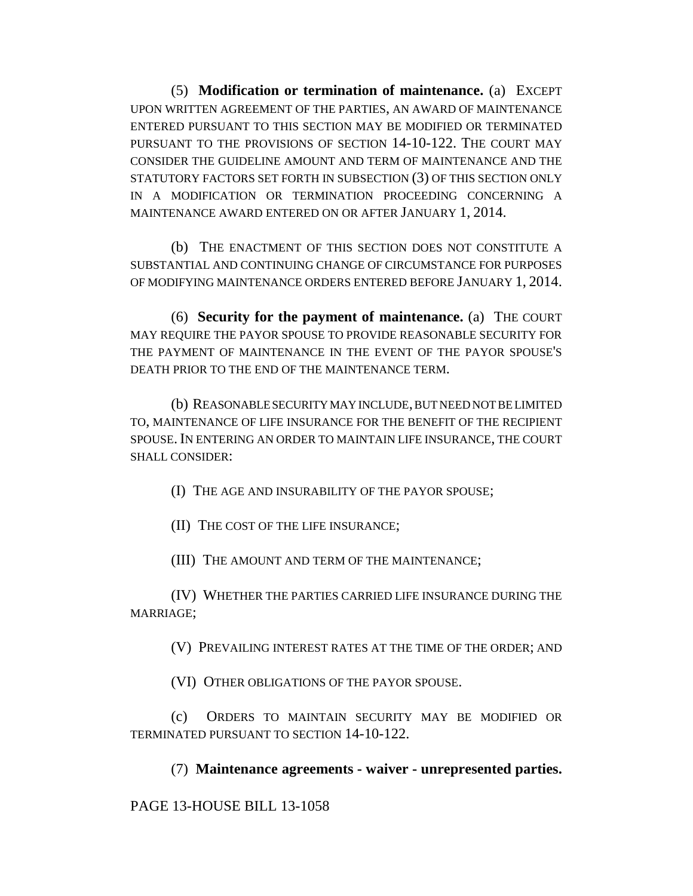(5) **Modification or termination of maintenance.** (a) EXCEPT UPON WRITTEN AGREEMENT OF THE PARTIES, AN AWARD OF MAINTENANCE ENTERED PURSUANT TO THIS SECTION MAY BE MODIFIED OR TERMINATED PURSUANT TO THE PROVISIONS OF SECTION 14-10-122. THE COURT MAY CONSIDER THE GUIDELINE AMOUNT AND TERM OF MAINTENANCE AND THE STATUTORY FACTORS SET FORTH IN SUBSECTION (3) OF THIS SECTION ONLY IN A MODIFICATION OR TERMINATION PROCEEDING CONCERNING A MAINTENANCE AWARD ENTERED ON OR AFTER JANUARY 1, 2014.

(b) THE ENACTMENT OF THIS SECTION DOES NOT CONSTITUTE A SUBSTANTIAL AND CONTINUING CHANGE OF CIRCUMSTANCE FOR PURPOSES OF MODIFYING MAINTENANCE ORDERS ENTERED BEFORE JANUARY 1, 2014.

(6) **Security for the payment of maintenance.** (a) THE COURT MAY REQUIRE THE PAYOR SPOUSE TO PROVIDE REASONABLE SECURITY FOR THE PAYMENT OF MAINTENANCE IN THE EVENT OF THE PAYOR SPOUSE'S DEATH PRIOR TO THE END OF THE MAINTENANCE TERM.

(b) REASONABLE SECURITY MAY INCLUDE, BUT NEED NOT BE LIMITED TO, MAINTENANCE OF LIFE INSURANCE FOR THE BENEFIT OF THE RECIPIENT SPOUSE. IN ENTERING AN ORDER TO MAINTAIN LIFE INSURANCE, THE COURT SHALL CONSIDER:

(I) THE AGE AND INSURABILITY OF THE PAYOR SPOUSE;

(II) THE COST OF THE LIFE INSURANCE;

(III) THE AMOUNT AND TERM OF THE MAINTENANCE;

(IV) WHETHER THE PARTIES CARRIED LIFE INSURANCE DURING THE MARRIAGE;

(V) PREVAILING INTEREST RATES AT THE TIME OF THE ORDER; AND

(VI) OTHER OBLIGATIONS OF THE PAYOR SPOUSE.

(c) ORDERS TO MAINTAIN SECURITY MAY BE MODIFIED OR TERMINATED PURSUANT TO SECTION 14-10-122.

(7) **Maintenance agreements - waiver - unrepresented parties.**

PAGE 13-HOUSE BILL 13-1058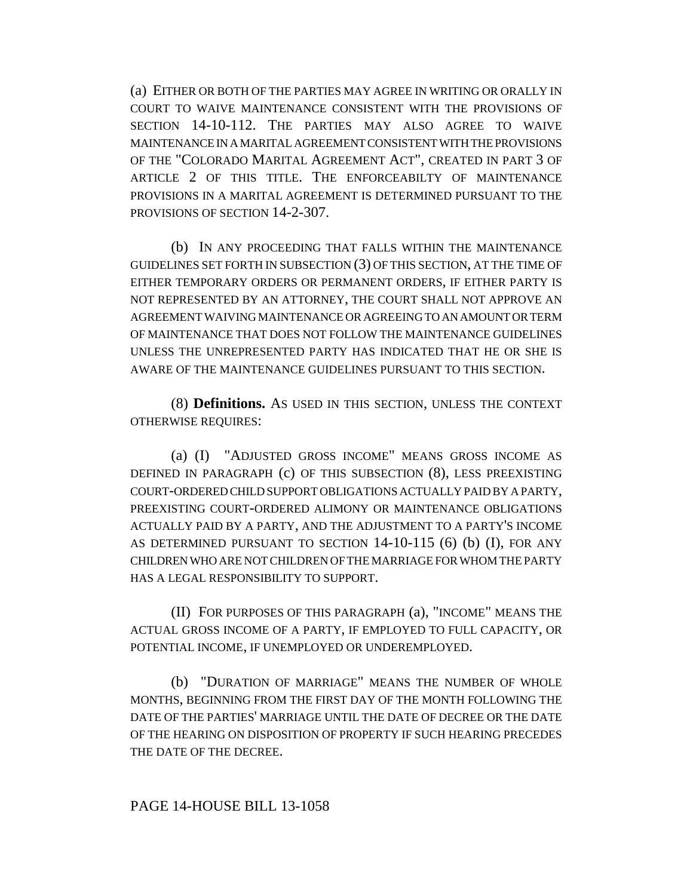(a) EITHER OR BOTH OF THE PARTIES MAY AGREE IN WRITING OR ORALLY IN COURT TO WAIVE MAINTENANCE CONSISTENT WITH THE PROVISIONS OF SECTION 14-10-112. THE PARTIES MAY ALSO AGREE TO WAIVE MAINTENANCE IN A MARITAL AGREEMENT CONSISTENT WITH THE PROVISIONS OF THE "COLORADO MARITAL AGREEMENT ACT", CREATED IN PART 3 OF ARTICLE 2 OF THIS TITLE. THE ENFORCEABILTY OF MAINTENANCE PROVISIONS IN A MARITAL AGREEMENT IS DETERMINED PURSUANT TO THE PROVISIONS OF SECTION 14-2-307.

(b) IN ANY PROCEEDING THAT FALLS WITHIN THE MAINTENANCE GUIDELINES SET FORTH IN SUBSECTION (3) OF THIS SECTION, AT THE TIME OF EITHER TEMPORARY ORDERS OR PERMANENT ORDERS, IF EITHER PARTY IS NOT REPRESENTED BY AN ATTORNEY, THE COURT SHALL NOT APPROVE AN AGREEMENT WAIVING MAINTENANCE OR AGREEING TO AN AMOUNT OR TERM OF MAINTENANCE THAT DOES NOT FOLLOW THE MAINTENANCE GUIDELINES UNLESS THE UNREPRESENTED PARTY HAS INDICATED THAT HE OR SHE IS AWARE OF THE MAINTENANCE GUIDELINES PURSUANT TO THIS SECTION.

(8) **Definitions.** AS USED IN THIS SECTION, UNLESS THE CONTEXT OTHERWISE REQUIRES:

(a) (I) "ADJUSTED GROSS INCOME" MEANS GROSS INCOME AS DEFINED IN PARAGRAPH (c) OF THIS SUBSECTION (8), LESS PREEXISTING COURT-ORDERED CHILD SUPPORT OBLIGATIONS ACTUALLY PAID BY A PARTY, PREEXISTING COURT-ORDERED ALIMONY OR MAINTENANCE OBLIGATIONS ACTUALLY PAID BY A PARTY, AND THE ADJUSTMENT TO A PARTY'S INCOME AS DETERMINED PURSUANT TO SECTION 14-10-115 (6) (b) (I), FOR ANY CHILDREN WHO ARE NOT CHILDREN OF THE MARRIAGE FOR WHOM THE PARTY HAS A LEGAL RESPONSIBILITY TO SUPPORT.

(II) FOR PURPOSES OF THIS PARAGRAPH (a), "INCOME" MEANS THE ACTUAL GROSS INCOME OF A PARTY, IF EMPLOYED TO FULL CAPACITY, OR POTENTIAL INCOME, IF UNEMPLOYED OR UNDEREMPLOYED.

(b) "DURATION OF MARRIAGE" MEANS THE NUMBER OF WHOLE MONTHS, BEGINNING FROM THE FIRST DAY OF THE MONTH FOLLOWING THE DATE OF THE PARTIES' MARRIAGE UNTIL THE DATE OF DECREE OR THE DATE OF THE HEARING ON DISPOSITION OF PROPERTY IF SUCH HEARING PRECEDES THE DATE OF THE DECREE.

### PAGE 14-HOUSE BILL 13-1058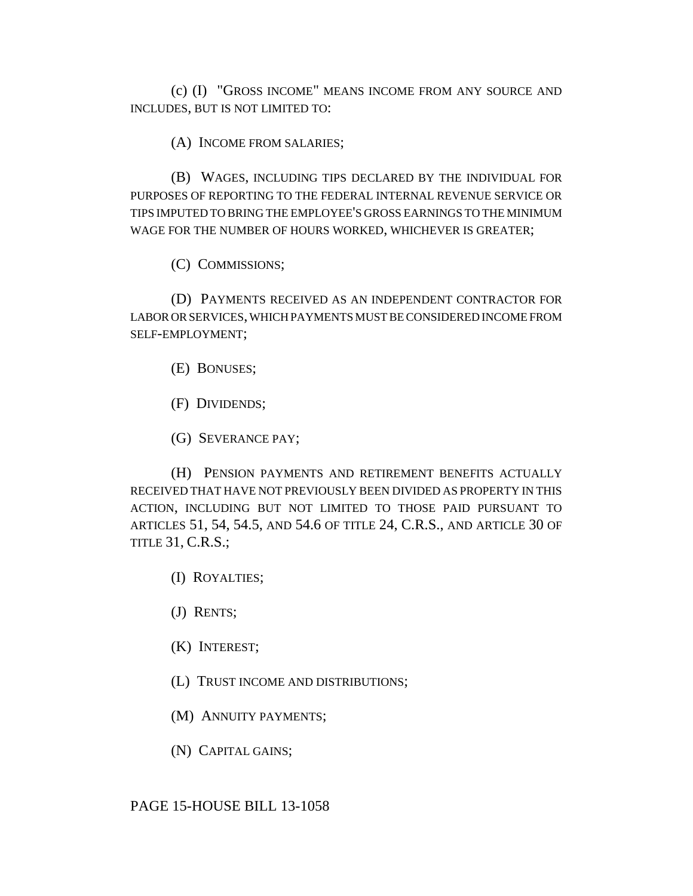(c) (I) "GROSS INCOME" MEANS INCOME FROM ANY SOURCE AND INCLUDES, BUT IS NOT LIMITED TO:

(A) INCOME FROM SALARIES;

(B) WAGES, INCLUDING TIPS DECLARED BY THE INDIVIDUAL FOR PURPOSES OF REPORTING TO THE FEDERAL INTERNAL REVENUE SERVICE OR TIPS IMPUTED TO BRING THE EMPLOYEE'S GROSS EARNINGS TO THE MINIMUM WAGE FOR THE NUMBER OF HOURS WORKED, WHICHEVER IS GREATER;

(C) COMMISSIONS;

(D) PAYMENTS RECEIVED AS AN INDEPENDENT CONTRACTOR FOR LABOR OR SERVICES, WHICH PAYMENTS MUST BE CONSIDERED INCOME FROM SELF-EMPLOYMENT;

(E) BONUSES;

(F) DIVIDENDS;

(G) SEVERANCE PAY;

(H) PENSION PAYMENTS AND RETIREMENT BENEFITS ACTUALLY RECEIVED THAT HAVE NOT PREVIOUSLY BEEN DIVIDED AS PROPERTY IN THIS ACTION, INCLUDING BUT NOT LIMITED TO THOSE PAID PURSUANT TO ARTICLES 51, 54, 54.5, AND 54.6 OF TITLE 24, C.R.S., AND ARTICLE 30 OF TITLE 31, C.R.S.;

(I) ROYALTIES;

(J) RENTS;

(K) INTEREST;

(L) TRUST INCOME AND DISTRIBUTIONS;

(M) ANNUITY PAYMENTS;

(N) CAPITAL GAINS;

PAGE 15-HOUSE BILL 13-1058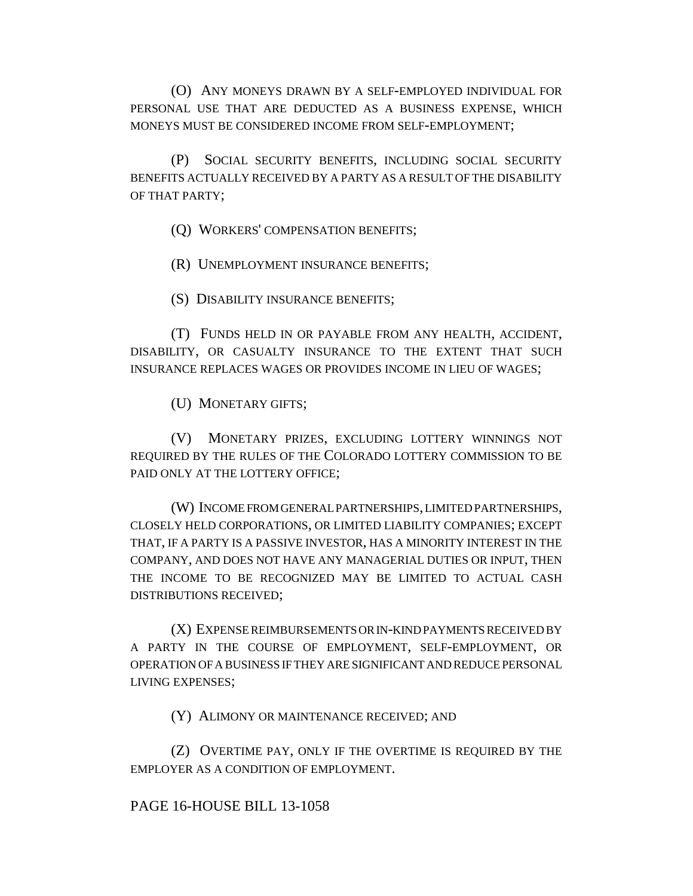(O) ANY MONEYS DRAWN BY A SELF-EMPLOYED INDIVIDUAL FOR PERSONAL USE THAT ARE DEDUCTED AS A BUSINESS EXPENSE, WHICH MONEYS MUST BE CONSIDERED INCOME FROM SELF-EMPLOYMENT;

(P) SOCIAL SECURITY BENEFITS, INCLUDING SOCIAL SECURITY BENEFITS ACTUALLY RECEIVED BY A PARTY AS A RESULT OF THE DISABILITY OF THAT PARTY;

(Q) WORKERS' COMPENSATION BENEFITS;

(R) UNEMPLOYMENT INSURANCE BENEFITS;

(S) DISABILITY INSURANCE BENEFITS;

(T) FUNDS HELD IN OR PAYABLE FROM ANY HEALTH, ACCIDENT, DISABILITY, OR CASUALTY INSURANCE TO THE EXTENT THAT SUCH INSURANCE REPLACES WAGES OR PROVIDES INCOME IN LIEU OF WAGES;

(U) MONETARY GIFTS;

(V) MONETARY PRIZES, EXCLUDING LOTTERY WINNINGS NOT REQUIRED BY THE RULES OF THE COLORADO LOTTERY COMMISSION TO BE PAID ONLY AT THE LOTTERY OFFICE;

(W) INCOME FROM GENERAL PARTNERSHIPS, LIMITED PARTNERSHIPS, CLOSELY HELD CORPORATIONS, OR LIMITED LIABILITY COMPANIES; EXCEPT THAT, IF A PARTY IS A PASSIVE INVESTOR, HAS A MINORITY INTEREST IN THE COMPANY, AND DOES NOT HAVE ANY MANAGERIAL DUTIES OR INPUT, THEN THE INCOME TO BE RECOGNIZED MAY BE LIMITED TO ACTUAL CASH DISTRIBUTIONS RECEIVED;

(X) EXPENSE REIMBURSEMENTS OR IN-KIND PAYMENTS RECEIVED BY A PARTY IN THE COURSE OF EMPLOYMENT, SELF-EMPLOYMENT, OR OPERATION OF A BUSINESS IF THEY ARE SIGNIFICANT AND REDUCE PERSONAL LIVING EXPENSES;

(Y) ALIMONY OR MAINTENANCE RECEIVED; AND

(Z) OVERTIME PAY, ONLY IF THE OVERTIME IS REQUIRED BY THE EMPLOYER AS A CONDITION OF EMPLOYMENT.

## PAGE 16-HOUSE BILL 13-1058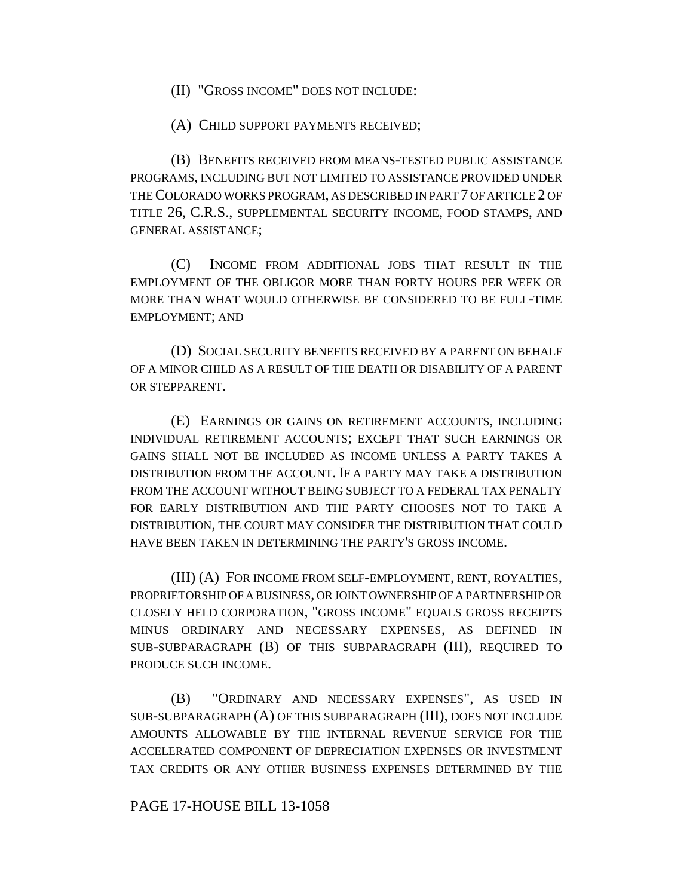(II) "GROSS INCOME" DOES NOT INCLUDE:

(A) CHILD SUPPORT PAYMENTS RECEIVED;

(B) BENEFITS RECEIVED FROM MEANS-TESTED PUBLIC ASSISTANCE PROGRAMS, INCLUDING BUT NOT LIMITED TO ASSISTANCE PROVIDED UNDER THE COLORADO WORKS PROGRAM, AS DESCRIBED IN PART 7 OF ARTICLE 2 OF TITLE 26, C.R.S., SUPPLEMENTAL SECURITY INCOME, FOOD STAMPS, AND GENERAL ASSISTANCE;

(C) INCOME FROM ADDITIONAL JOBS THAT RESULT IN THE EMPLOYMENT OF THE OBLIGOR MORE THAN FORTY HOURS PER WEEK OR MORE THAN WHAT WOULD OTHERWISE BE CONSIDERED TO BE FULL-TIME EMPLOYMENT; AND

(D) SOCIAL SECURITY BENEFITS RECEIVED BY A PARENT ON BEHALF OF A MINOR CHILD AS A RESULT OF THE DEATH OR DISABILITY OF A PARENT OR STEPPARENT.

(E) EARNINGS OR GAINS ON RETIREMENT ACCOUNTS, INCLUDING INDIVIDUAL RETIREMENT ACCOUNTS; EXCEPT THAT SUCH EARNINGS OR GAINS SHALL NOT BE INCLUDED AS INCOME UNLESS A PARTY TAKES A DISTRIBUTION FROM THE ACCOUNT. IF A PARTY MAY TAKE A DISTRIBUTION FROM THE ACCOUNT WITHOUT BEING SUBJECT TO A FEDERAL TAX PENALTY FOR EARLY DISTRIBUTION AND THE PARTY CHOOSES NOT TO TAKE A DISTRIBUTION, THE COURT MAY CONSIDER THE DISTRIBUTION THAT COULD HAVE BEEN TAKEN IN DETERMINING THE PARTY'S GROSS INCOME.

(III) (A) FOR INCOME FROM SELF-EMPLOYMENT, RENT, ROYALTIES, PROPRIETORSHIP OF A BUSINESS, OR JOINT OWNERSHIP OF A PARTNERSHIP OR CLOSELY HELD CORPORATION, "GROSS INCOME" EQUALS GROSS RECEIPTS MINUS ORDINARY AND NECESSARY EXPENSES, AS DEFINED IN SUB-SUBPARAGRAPH (B) OF THIS SUBPARAGRAPH (III), REQUIRED TO PRODUCE SUCH INCOME.

(B) "ORDINARY AND NECESSARY EXPENSES", AS USED IN SUB-SUBPARAGRAPH (A) OF THIS SUBPARAGRAPH (III), DOES NOT INCLUDE AMOUNTS ALLOWABLE BY THE INTERNAL REVENUE SERVICE FOR THE ACCELERATED COMPONENT OF DEPRECIATION EXPENSES OR INVESTMENT TAX CREDITS OR ANY OTHER BUSINESS EXPENSES DETERMINED BY THE

#### PAGE 17-HOUSE BILL 13-1058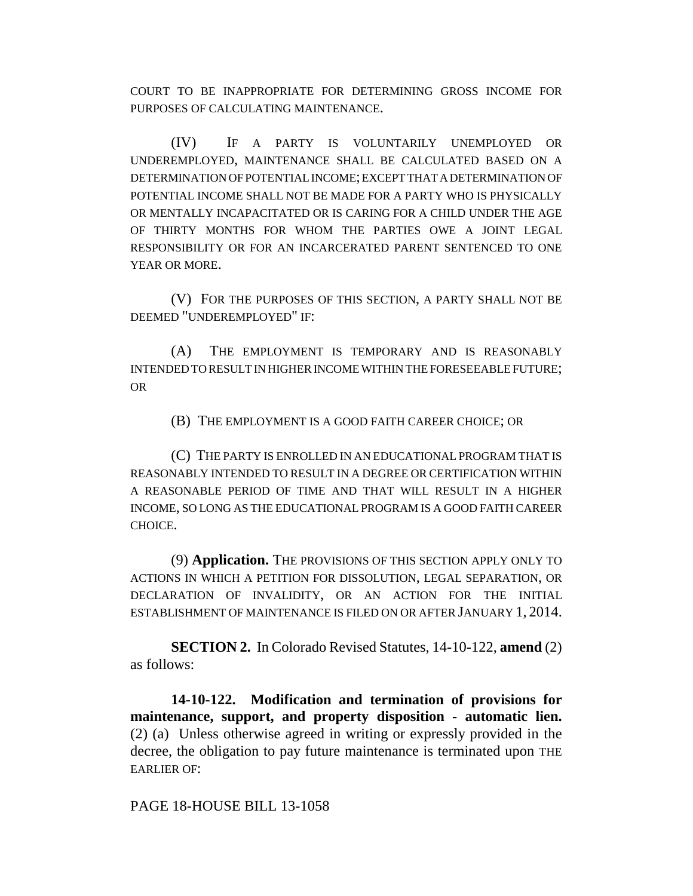COURT TO BE INAPPROPRIATE FOR DETERMINING GROSS INCOME FOR PURPOSES OF CALCULATING MAINTENANCE.

(IV) IF A PARTY IS VOLUNTARILY UNEMPLOYED OR UNDEREMPLOYED, MAINTENANCE SHALL BE CALCULATED BASED ON A DETERMINATION OF POTENTIAL INCOME; EXCEPT THAT A DETERMINATION OF POTENTIAL INCOME SHALL NOT BE MADE FOR A PARTY WHO IS PHYSICALLY OR MENTALLY INCAPACITATED OR IS CARING FOR A CHILD UNDER THE AGE OF THIRTY MONTHS FOR WHOM THE PARTIES OWE A JOINT LEGAL RESPONSIBILITY OR FOR AN INCARCERATED PARENT SENTENCED TO ONE YEAR OR MORE.

(V) FOR THE PURPOSES OF THIS SECTION, A PARTY SHALL NOT BE DEEMED "UNDEREMPLOYED" IF:

(A) THE EMPLOYMENT IS TEMPORARY AND IS REASONABLY INTENDED TO RESULT IN HIGHER INCOME WITHIN THE FORESEEABLE FUTURE; OR

(B) THE EMPLOYMENT IS A GOOD FAITH CAREER CHOICE; OR

(C) THE PARTY IS ENROLLED IN AN EDUCATIONAL PROGRAM THAT IS REASONABLY INTENDED TO RESULT IN A DEGREE OR CERTIFICATION WITHIN A REASONABLE PERIOD OF TIME AND THAT WILL RESULT IN A HIGHER INCOME, SO LONG AS THE EDUCATIONAL PROGRAM IS A GOOD FAITH CAREER CHOICE.

(9) **Application.** THE PROVISIONS OF THIS SECTION APPLY ONLY TO ACTIONS IN WHICH A PETITION FOR DISSOLUTION, LEGAL SEPARATION, OR DECLARATION OF INVALIDITY, OR AN ACTION FOR THE INITIAL ESTABLISHMENT OF MAINTENANCE IS FILED ON OR AFTER JANUARY 1, 2014.

**SECTION 2.** In Colorado Revised Statutes, 14-10-122, **amend** (2) as follows:

**14-10-122. Modification and termination of provisions for maintenance, support, and property disposition - automatic lien.** (2) (a) Unless otherwise agreed in writing or expressly provided in the decree, the obligation to pay future maintenance is terminated upon THE EARLIER OF:

PAGE 18-HOUSE BILL 13-1058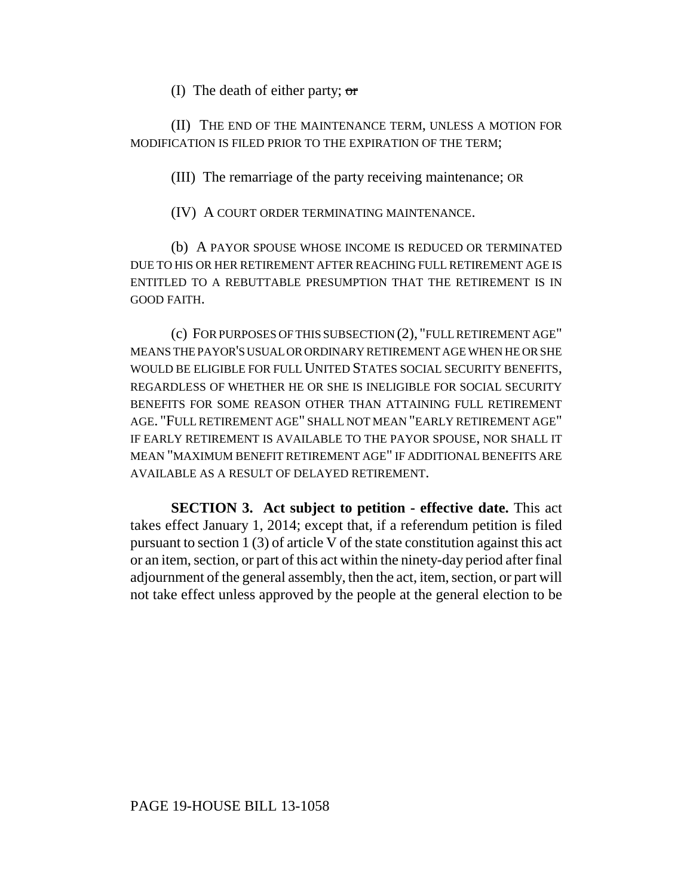(I) The death of either party; or

(II) THE END OF THE MAINTENANCE TERM, UNLESS A MOTION FOR MODIFICATION IS FILED PRIOR TO THE EXPIRATION OF THE TERM;

(III) The remarriage of the party receiving maintenance; OR

(IV) A COURT ORDER TERMINATING MAINTENANCE.

(b) A PAYOR SPOUSE WHOSE INCOME IS REDUCED OR TERMINATED DUE TO HIS OR HER RETIREMENT AFTER REACHING FULL RETIREMENT AGE IS ENTITLED TO A REBUTTABLE PRESUMPTION THAT THE RETIREMENT IS IN GOOD FAITH.

(c) FOR PURPOSES OF THIS SUBSECTION (2), "FULL RETIREMENT AGE" MEANS THE PAYOR'S USUAL OR ORDINARY RETIREMENT AGE WHEN HE OR SHE WOULD BE ELIGIBLE FOR FULL UNITED STATES SOCIAL SECURITY BENEFITS, REGARDLESS OF WHETHER HE OR SHE IS INELIGIBLE FOR SOCIAL SECURITY BENEFITS FOR SOME REASON OTHER THAN ATTAINING FULL RETIREMENT AGE. "FULL RETIREMENT AGE" SHALL NOT MEAN "EARLY RETIREMENT AGE" IF EARLY RETIREMENT IS AVAILABLE TO THE PAYOR SPOUSE, NOR SHALL IT MEAN "MAXIMUM BENEFIT RETIREMENT AGE" IF ADDITIONAL BENEFITS ARE AVAILABLE AS A RESULT OF DELAYED RETIREMENT.

**SECTION 3. Act subject to petition - effective date.** This act takes effect January 1, 2014; except that, if a referendum petition is filed pursuant to section 1 (3) of article V of the state constitution against this act or an item, section, or part of this act within the ninety-day period after final adjournment of the general assembly, then the act, item, section, or part will not take effect unless approved by the people at the general election to be